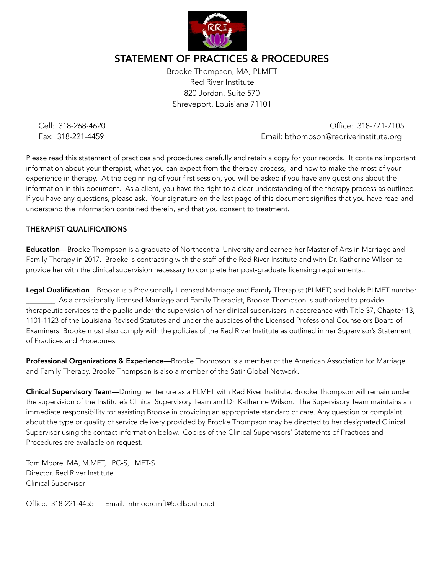

# STATEMENT OF PRACTICES & PROCEDURES

Brooke Thompson, MA, PLMFT Red River Institute 820 Jordan, Suite 570 Shreveport, Louisiana 71101

 Cell: 318-268-4620 Office: 318-771-7105 Fax: 318-221-4459 Email: bthompson@redriverinstitute.org

Please read this statement of practices and procedures carefully and retain a copy for your records. It contains important information about your therapist, what you can expect from the therapy process, and how to make the most of your experience in therapy. At the beginning of your first session, you will be asked if you have any questions about the information in this document. As a client, you have the right to a clear understanding of the therapy process as outlined. If you have any questions, please ask. Your signature on the last page of this document signifies that you have read and understand the information contained therein, and that you consent to treatment.

#### THERAPIST QUALIFICATIONS

Education—Brooke Thompson is a graduate of Northcentral University and earned her Master of Arts in Marriage and Family Therapy in 2017. Brooke is contracting with the staff of the Red River Institute and with Dr. Katherine WIlson to provide her with the clinical supervision necessary to complete her post-graduate licensing requirements..

Legal Qualification—Brooke is a Provisionally Licensed Marriage and Family Therapist (PLMFT) and holds PLMFT number \_\_\_\_\_\_\_\_. As a provisionally-licensed Marriage and Family Therapist, Brooke Thompson is authorized to provide therapeutic services to the public under the supervision of her clinical supervisors in accordance with Title 37, Chapter 13, 1101-1123 of the Louisiana Revised Statutes and under the auspices of the Licensed Professional Counselors Board of Examiners. Brooke must also comply with the policies of the Red River Institute as outlined in her Supervisor's Statement of Practices and Procedures.

Professional Organizations & Experience—Brooke Thompson is a member of the American Association for Marriage and Family Therapy. Brooke Thompson is also a member of the Satir Global Network.

Clinical Supervisory Team—During her tenure as a PLMFT with Red River Institute, Brooke Thompson will remain under the supervision of the Institute's Clinical Supervisory Team and Dr. Katherine Wilson. The Supervisory Team maintains an immediate responsibility for assisting Brooke in providing an appropriate standard of care. Any question or complaint about the type or quality of service delivery provided by Brooke Thompson may be directed to her designated Clinical Supervisor using the contact information below. Copies of the Clinical Supervisors' Statements of Practices and Procedures are available on request.

Tom Moore, MA, M.MFT, LPC-S, LMFT-S Director, Red River Institute Clinical Supervisor

Office: 318-221-4455 Email: ntmooremft@bellsouth.net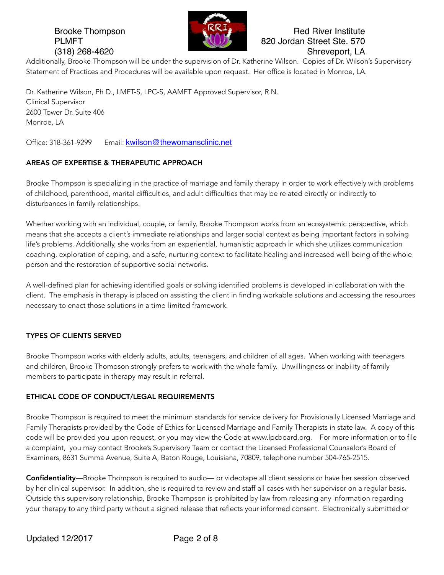

# Brooke Thompson **Red River Institute** Red River Institute PLMFT **120 COVID-100 PLMFT** 820 Jordan Street Ste. 570 (318) 268-4620 Shreveport, LA

Additionally, Brooke Thompson will be under the supervision of Dr. Katherine Wilson. Copies of Dr. Wilson's Supervisory Statement of Practices and Procedures will be available upon request. Her office is located in Monroe, LA.

Dr. Katherine Wilson, Ph D., LMFT-S, LPC-S, AAMFT Approved Supervisor, R.N. Clinical Supervisor 2600 Tower Dr. Suite 406 Monroe, LA

Office: 318-361-9299 Email: [kwilson@thewomansclinic.net](mailto:kwilson@thewomansclinic.net)

# AREAS OF EXPERTISE & THERAPEUTIC APPROACH

Brooke Thompson is specializing in the practice of marriage and family therapy in order to work effectively with problems of childhood, parenthood, marital difficulties, and adult difficulties that may be related directly or indirectly to disturbances in family relationships.

Whether working with an individual, couple, or family, Brooke Thompson works from an ecosystemic perspective, which means that she accepts a client's immediate relationships and larger social context as being important factors in solving life's problems. Additionally, she works from an experiential, humanistic approach in which she utilizes communication coaching, exploration of coping, and a safe, nurturing context to facilitate healing and increased well-being of the whole person and the restoration of supportive social networks.

A well-defined plan for achieving identified goals or solving identified problems is developed in collaboration with the client. The emphasis in therapy is placed on assisting the client in finding workable solutions and accessing the resources necessary to enact those solutions in a time-limited framework.

### TYPES OF CLIENTS SERVED

Brooke Thompson works with elderly adults, adults, teenagers, and children of all ages. When working with teenagers and children, Brooke Thompson strongly prefers to work with the whole family. Unwillingness or inability of family members to participate in therapy may result in referral.

### ETHICAL CODE OF CONDUCT/LEGAL REQUIREMENTS

Brooke Thompson is required to meet the minimum standards for service delivery for Provisionally Licensed Marriage and Family Therapists provided by the Code of Ethics for Licensed Marriage and Family Therapists in state law. A copy of this code will be provided you upon request, or you may view the Code at www.lpcboard.org. For more information or to file a complaint, you may contact Brooke's Supervisory Team or contact the Licensed Professional Counselor's Board of Examiners, 8631 Summa Avenue, Suite A, Baton Rouge, Louisiana, 70809, telephone number 504-765-2515.

Confidentiality—Brooke Thompson is required to audio— or videotape all client sessions or have her session observed by her clinical supervisor. In addition, she is required to review and staff all cases with her supervisor on a regular basis. Outside this supervisory relationship, Brooke Thompson is prohibited by law from releasing any information regarding your therapy to any third party without a signed release that reflects your informed consent. Electronically submitted or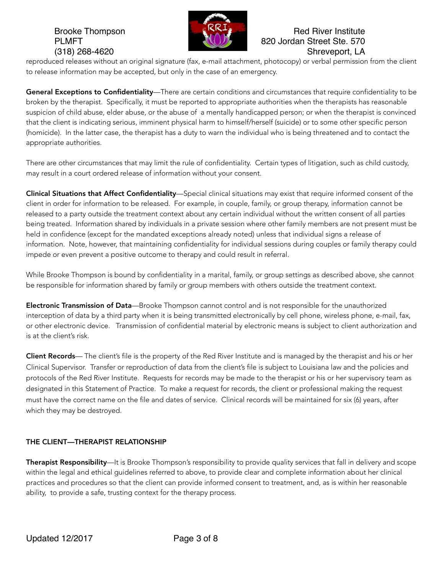

# Brooke Thompson **Red River Institute** Red River Institute PLMFT **120 COVID-100 PLMFT** 820 Jordan Street Ste. 570 (318) 268-4620 Shreveport, LA

reproduced releases without an original signature (fax, e-mail attachment, photocopy) or verbal permission from the client to release information may be accepted, but only in the case of an emergency.

General Exceptions to Confidentiality—There are certain conditions and circumstances that require confidentiality to be broken by the therapist. Specifically, it must be reported to appropriate authorities when the therapists has reasonable suspicion of child abuse, elder abuse, or the abuse of a mentally handicapped person; or when the therapist is convinced that the client is indicating serious, imminent physical harm to himself/herself (suicide) or to some other specific person (homicide). In the latter case, the therapist has a duty to warn the individual who is being threatened and to contact the appropriate authorities.

There are other circumstances that may limit the rule of confidentiality. Certain types of litigation, such as child custody, may result in a court ordered release of information without your consent.

Clinical Situations that Affect Confidentiality—Special clinical situations may exist that require informed consent of the client in order for information to be released. For example, in couple, family, or group therapy, information cannot be released to a party outside the treatment context about any certain individual without the written consent of all parties being treated. Information shared by individuals in a private session where other family members are not present must be held in confidence (except for the mandated exceptions already noted) unless that individual signs a release of information. Note, however, that maintaining confidentiality for individual sessions during couples or family therapy could impede or even prevent a positive outcome to therapy and could result in referral.

While Brooke Thompson is bound by confidentiality in a marital, family, or group settings as described above, she cannot be responsible for information shared by family or group members with others outside the treatment context.

Electronic Transmission of Data—Brooke Thompson cannot control and is not responsible for the unauthorized interception of data by a third party when it is being transmitted electronically by cell phone, wireless phone, e-mail, fax, or other electronic device. Transmission of confidential material by electronic means is subject to client authorization and is at the client's risk.

Client Records— The client's file is the property of the Red River Institute and is managed by the therapist and his or her Clinical Supervisor. Transfer or reproduction of data from the client's file is subject to Louisiana law and the policies and protocols of the Red River Institute. Requests for records may be made to the therapist or his or her supervisory team as designated in this Statement of Practice. To make a request for records, the client or professional making the request must have the correct name on the file and dates of service. Clinical records will be maintained for six (6) years, after which they may be destroyed.

# THE CLIENT—THERAPIST RELATIONSHIP

Therapist Responsibility—It is Brooke Thompson's responsibility to provide quality services that fall in delivery and scope within the legal and ethical guidelines referred to above, to provide clear and complete information about her clinical practices and procedures so that the client can provide informed consent to treatment, and, as is within her reasonable ability, to provide a safe, trusting context for the therapy process.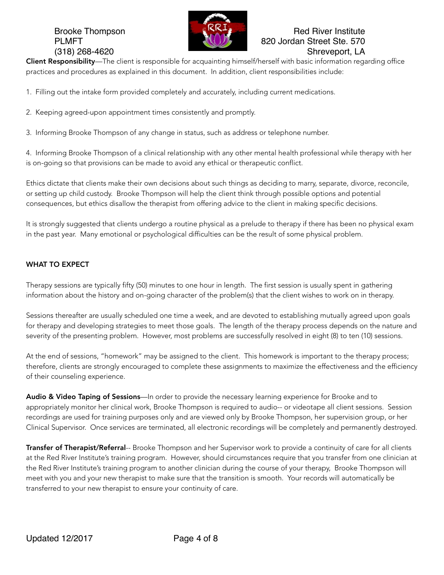

# Brooke Thompson **Red River Institute** Red River Institute PLMFT **820 Jordan Street Ste. 570** (318) 268-4620 Shreveport, LA

Client Responsibility—The client is responsible for acquainting himself/herself with basic information regarding office practices and procedures as explained in this document. In addition, client responsibilities include:

- 1. Filling out the intake form provided completely and accurately, including current medications.
- 2. Keeping agreed-upon appointment times consistently and promptly.
- 3. Informing Brooke Thompson of any change in status, such as address or telephone number.

4. Informing Brooke Thompson of a clinical relationship with any other mental health professional while therapy with her is on-going so that provisions can be made to avoid any ethical or therapeutic conflict.

Ethics dictate that clients make their own decisions about such things as deciding to marry, separate, divorce, reconcile, or setting up child custody. Brooke Thompson will help the client think through possible options and potential consequences, but ethics disallow the therapist from offering advice to the client in making specific decisions.

It is strongly suggested that clients undergo a routine physical as a prelude to therapy if there has been no physical exam in the past year. Many emotional or psychological difficulties can be the result of some physical problem.

### WHAT TO EXPECT

Therapy sessions are typically fifty (50) minutes to one hour in length. The first session is usually spent in gathering information about the history and on-going character of the problem(s) that the client wishes to work on in therapy.

Sessions thereafter are usually scheduled one time a week, and are devoted to establishing mutually agreed upon goals for therapy and developing strategies to meet those goals. The length of the therapy process depends on the nature and severity of the presenting problem. However, most problems are successfully resolved in eight (8) to ten (10) sessions.

At the end of sessions, "homework" may be assigned to the client. This homework is important to the therapy process; therefore, clients are strongly encouraged to complete these assignments to maximize the effectiveness and the efficiency of their counseling experience.

Audio & Video Taping of Sessions—In order to provide the necessary learning experience for Brooke and to appropriately monitor her clinical work, Brooke Thompson is required to audio-- or videotape all client sessions. Session recordings are used for training purposes only and are viewed only by Brooke Thompson, her supervision group, or her Clinical Supervisor. Once services are terminated, all electronic recordings will be completely and permanently destroyed.

Transfer of Therapist/Referral-- Brooke Thompson and her Supervisor work to provide a continuity of care for all clients at the Red River Institute's training program. However, should circumstances require that you transfer from one clinician at the Red River Institute's training program to another clinician during the course of your therapy, Brooke Thompson will meet with you and your new therapist to make sure that the transition is smooth. Your records will automatically be transferred to your new therapist to ensure your continuity of care.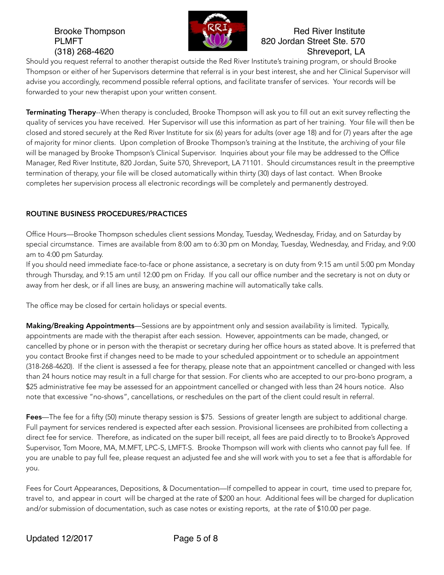

# Brooke Thompson **Red River Institute** Red River Institute PLMFT **120 COVID-100 PLMFT** 820 Jordan Street Ste. 570 (318) 268-4620 Shreveport, LA

Should you request referral to another therapist outside the Red River Institute's training program, or should Brooke Thompson or either of her Supervisors determine that referral is in your best interest, she and her Clinical Supervisor will advise you accordingly, recommend possible referral options, and facilitate transfer of services. Your records will be forwarded to your new therapist upon your written consent.

**Terminating Therapy--**When therapy is concluded, Brooke Thompson will ask you to fill out an exit survey reflecting the quality of services you have received. Her Supervisor will use this information as part of her training. Your file will then be closed and stored securely at the Red River Institute for six (6) years for adults (over age 18) and for (7) years after the age of majority for minor clients. Upon completion of Brooke Thompson's training at the Institute, the archiving of your file will be managed by Brooke Thompson's Clinical Supervisor. Inquiries about your file may be addressed to the Office Manager, Red River Institute, 820 Jordan, Suite 570, Shreveport, LA 71101. Should circumstances result in the preemptive termination of therapy, your file will be closed automatically within thirty (30) days of last contact. When Brooke completes her supervision process all electronic recordings will be completely and permanently destroyed.

# ROUTINE BUSINESS PROCEDURES/PRACTICES

Office Hours—Brooke Thompson schedules client sessions Monday, Tuesday, Wednesday, Friday, and on Saturday by special circumstance. Times are available from 8:00 am to 6:30 pm on Monday, Tuesday, Wednesday, and Friday, and 9:00 am to 4:00 pm Saturday.

If you should need immediate face-to-face or phone assistance, a secretary is on duty from 9:15 am until 5:00 pm Monday through Thursday, and 9:15 am until 12:00 pm on Friday. If you call our office number and the secretary is not on duty or away from her desk, or if all lines are busy, an answering machine will automatically take calls.

The office may be closed for certain holidays or special events.

**Making/Breaking Appointments**—Sessions are by appointment only and session availability is limited. Typically, appointments are made with the therapist after each session. However, appointments can be made, changed, or cancelled by phone or in person with the therapist or secretary during her office hours as stated above. It is preferred that you contact Brooke first if changes need to be made to your scheduled appointment or to schedule an appointment (318-268-4620). If the client is assessed a fee for therapy, please note that an appointment cancelled or changed with less than 24 hours notice may result in a full charge for that session. For clients who are accepted to our pro-bono program, a \$25 administrative fee may be assessed for an appointment cancelled or changed with less than 24 hours notice. Also note that excessive "no-shows", cancellations, or reschedules on the part of the client could result in referral.

Fees—The fee for a fifty (50) minute therapy session is \$75. Sessions of greater length are subject to additional charge. Full payment for services rendered is expected after each session. Provisional licensees are prohibited from collecting a direct fee for service. Therefore, as indicated on the super bill receipt, all fees are paid directly to to Brooke's Approved Supervisor, Tom Moore, MA, M.MFT, LPC-S, LMFT-S. Brooke Thompson will work with clients who cannot pay full fee. If you are unable to pay full fee, please request an adjusted fee and she will work with you to set a fee that is affordable for you.

Fees for Court Appearances, Depositions, & Documentation—If compelled to appear in court, time used to prepare for, travel to, and appear in court will be charged at the rate of \$200 an hour. Additional fees will be charged for duplication and/or submission of documentation, such as case notes or existing reports, at the rate of \$10.00 per page.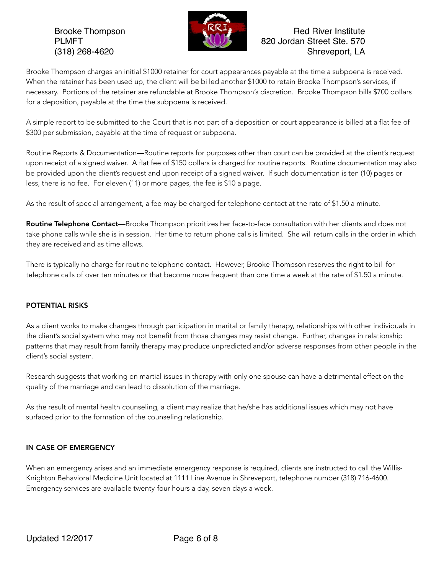

# Brooke Thompson **Red River Institute** Red River Institute PLMFT **820 Jordan Street Ste. 570** (318) 268-4620 Shreveport, LA

Brooke Thompson charges an initial \$1000 retainer for court appearances payable at the time a subpoena is received. When the retainer has been used up, the client will be billed another \$1000 to retain Brooke Thompson's services, if necessary. Portions of the retainer are refundable at Brooke Thompson's discretion. Brooke Thompson bills \$700 dollars for a deposition, payable at the time the subpoena is received.

A simple report to be submitted to the Court that is not part of a deposition or court appearance is billed at a flat fee of \$300 per submission, payable at the time of request or subpoena.

Routine Reports & Documentation—Routine reports for purposes other than court can be provided at the client's request upon receipt of a signed waiver. A flat fee of \$150 dollars is charged for routine reports. Routine documentation may also be provided upon the client's request and upon receipt of a signed waiver. If such documentation is ten (10) pages or less, there is no fee. For eleven (11) or more pages, the fee is \$10 a page.

As the result of special arrangement, a fee may be charged for telephone contact at the rate of \$1.50 a minute.

Routine Telephone Contact—Brooke Thompson prioritizes her face-to-face consultation with her clients and does not take phone calls while she is in session. Her time to return phone calls is limited. She will return calls in the order in which they are received and as time allows.

There is typically no charge for routine telephone contact. However, Brooke Thompson reserves the right to bill for telephone calls of over ten minutes or that become more frequent than one time a week at the rate of \$1.50 a minute.

# POTENTIAL RISKS

As a client works to make changes through participation in marital or family therapy, relationships with other individuals in the client's social system who may not benefit from those changes may resist change. Further, changes in relationship patterns that may result from family therapy may produce unpredicted and/or adverse responses from other people in the client's social system.

Research suggests that working on martial issues in therapy with only one spouse can have a detrimental effect on the quality of the marriage and can lead to dissolution of the marriage.

As the result of mental health counseling, a client may realize that he/she has additional issues which may not have surfaced prior to the formation of the counseling relationship.

### IN CASE OF EMERGENCY

When an emergency arises and an immediate emergency response is required, clients are instructed to call the Willis-Knighton Behavioral Medicine Unit located at 1111 Line Avenue in Shreveport, telephone number (318) 716-4600. Emergency services are available twenty-four hours a day, seven days a week.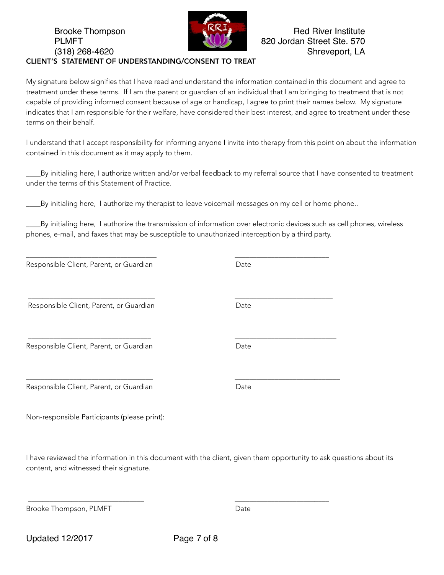#### Brooke Thompson **Red River Institute** Red River Institute PLMFT **820 Jordan Street Ste. 570** (318) 268-4620 Shreveport, LA CLIENT'S STATEMENT OF UNDERSTANDING/CONSENT TO TREAT

My signature below signifies that I have read and understand the information contained in this document and agree to treatment under these terms. If I am the parent or guardian of an individual that I am bringing to treatment that is not capable of providing informed consent because of age or handicap, I agree to print their names below. My signature indicates that I am responsible for their welfare, have considered their best interest, and agree to treatment under these terms on their behalf.

I understand that I accept responsibility for informing anyone I invite into therapy from this point on about the information contained in this document as it may apply to them.

\_\_\_\_By initialing here, I authorize written and/or verbal feedback to my referral source that I have consented to treatment under the terms of this Statement of Practice.

\_\_\_\_By initialing here, I authorize my therapist to leave voicemail messages on my cell or home phone..

\_\_\_\_\_\_\_\_\_\_\_\_\_\_\_\_\_\_\_\_\_\_\_\_\_\_\_\_\_\_\_\_\_\_\_\_ \_\_\_\_\_\_\_\_\_\_\_\_\_\_\_\_\_\_\_\_\_\_\_\_\_\_

\_\_\_\_\_\_\_\_\_\_\_\_\_\_\_\_\_\_\_\_\_\_\_\_\_\_\_\_\_\_\_\_\_\_\_ \_\_\_\_\_\_\_\_\_\_\_\_\_\_\_\_\_\_\_\_\_\_\_\_\_\_\_

\_\_\_\_\_\_\_\_\_\_\_\_\_\_\_\_\_\_\_\_\_\_\_\_\_\_\_\_\_\_\_\_\_\_ \_\_\_\_\_\_\_\_\_\_\_\_\_\_\_\_\_\_\_\_\_\_\_\_\_\_\_\_

\_\_\_\_By initialing here, I authorize the transmission of information over electronic devices such as cell phones, wireless phones, e-mail, and faxes that may be susceptible to unauthorized interception by a third party.

| Responsible Client, Parent, or Guardian | Date |
|-----------------------------------------|------|
|                                         |      |

Responsible Client, Parent, or Guardian and a state Date

Responsible Client, Parent, or Guardian and a controller part of Date

Responsible Client, Parent, or Guardian and a controller part of Date

Non-responsible Participants (please print):

I have reviewed the information in this document with the client, given them opportunity to ask questions about its content, and witnessed their signature.

Brooke Thompson, PLMFT Date and the United States of Date

Updated 12/2017 Page 7 of 8

\_\_\_\_\_\_\_\_\_\_\_\_\_\_\_\_\_\_\_\_\_\_\_\_\_\_\_\_\_\_\_\_ \_\_\_\_\_\_\_\_\_\_\_\_\_\_\_\_\_\_\_\_\_\_\_\_\_\_

\_\_\_\_\_\_\_\_\_\_\_\_\_\_\_\_\_\_\_\_\_\_\_\_\_\_\_\_\_\_\_\_\_\_\_ \_\_\_\_\_\_\_\_\_\_\_\_\_\_\_\_\_\_\_\_\_\_\_\_\_\_\_\_\_